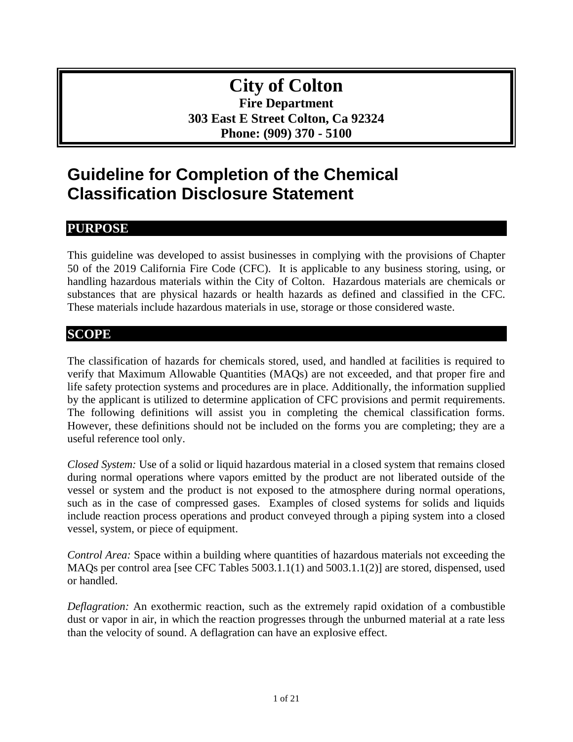# **City of Colton Fire Department 303 East E Street Colton, Ca 92324 Phone: (909) 370 - 5100**

# **Guideline for Completion of the Chemical Classification Disclosure Statement**

# **PURPOSE**

This guideline was developed to assist businesses in complying with the provisions of Chapter 50 of the 2019 California Fire Code (CFC). It is applicable to any business storing, using, or handling hazardous materials within the City of Colton. Hazardous materials are chemicals or substances that are physical hazards or health hazards as defined and classified in the CFC. These materials include hazardous materials in use, storage or those considered waste.

# **SCOPE**

The classification of hazards for chemicals stored, used, and handled at facilities is required to verify that Maximum Allowable Quantities (MAQs) are not exceeded, and that proper fire and life safety protection systems and procedures are in place. Additionally, the information supplied by the applicant is utilized to determine application of CFC provisions and permit requirements. The following definitions will assist you in completing the chemical classification forms. However, these definitions should not be included on the forms you are completing; they are a useful reference tool only.

*Closed System:* Use of a solid or liquid hazardous material in a closed system that remains closed during normal operations where vapors emitted by the product are not liberated outside of the vessel or system and the product is not exposed to the atmosphere during normal operations, such as in the case of compressed gases. Examples of closed systems for solids and liquids include reaction process operations and product conveyed through a piping system into a closed vessel, system, or piece of equipment.

*Control Area:* Space within a building where quantities of hazardous materials not exceeding the MAQs per control area [see CFC Tables 5003.1.1(1) and 5003.1.1(2)] are stored, dispensed, used or handled.

*Deflagration:* An exothermic reaction, such as the extremely rapid oxidation of a combustible dust or vapor in air, in which the reaction progresses through the unburned material at a rate less than the velocity of sound. A deflagration can have an explosive effect.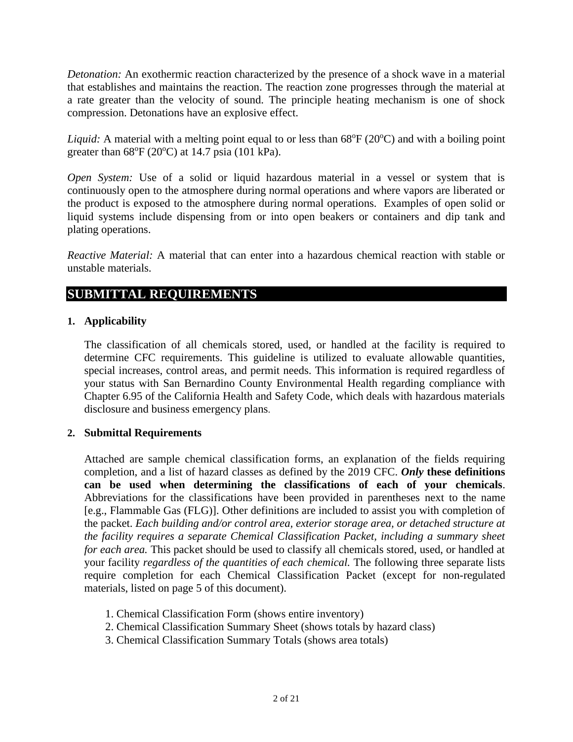*Detonation:* An exothermic reaction characterized by the presence of a shock wave in a material that establishes and maintains the reaction. The reaction zone progresses through the material at a rate greater than the velocity of sound. The principle heating mechanism is one of shock compression. Detonations have an explosive effect.

*Liquid:* A material with a melting point equal to or less than  $68^{\circ}F(20^{\circ}C)$  and with a boiling point greater than  $68^{\circ}F(20^{\circ}C)$  at 14.7 psia (101 kPa).

*Open System:* Use of a solid or liquid hazardous material in a vessel or system that is continuously open to the atmosphere during normal operations and where vapors are liberated or the product is exposed to the atmosphere during normal operations. Examples of open solid or liquid systems include dispensing from or into open beakers or containers and dip tank and plating operations.

*Reactive Material:* A material that can enter into a hazardous chemical reaction with stable or unstable materials.

## **SUBMITTAL REQUIREMENTS**

## **1. Applicability**

The classification of all chemicals stored, used, or handled at the facility is required to determine CFC requirements. This guideline is utilized to evaluate allowable quantities, special increases, control areas, and permit needs. This information is required regardless of your status with San Bernardino County Environmental Health regarding compliance with Chapter 6.95 of the California Health and Safety Code, which deals with hazardous materials disclosure and business emergency plans.

## **2. Submittal Requirements**

Attached are sample chemical classification forms, an explanation of the fields requiring completion, and a list of hazard classes as defined by the 2019 CFC. *Only* **these definitions can be used when determining the classifications of each of your chemicals**. Abbreviations for the classifications have been provided in parentheses next to the name [e.g., Flammable Gas (FLG)]. Other definitions are included to assist you with completion of the packet. *Each building and/or control area, exterior storage area, or detached structure at the facility requires a separate Chemical Classification Packet, including a summary sheet for each area.* This packet should be used to classify all chemicals stored, used, or handled at your facility *regardless of the quantities of each chemical.* The following three separate lists require completion for each Chemical Classification Packet (except for non-regulated materials, listed on page 5 of this document).

- 1. Chemical Classification Form (shows entire inventory)
- 2. Chemical Classification Summary Sheet (shows totals by hazard class)
- 3. Chemical Classification Summary Totals (shows area totals)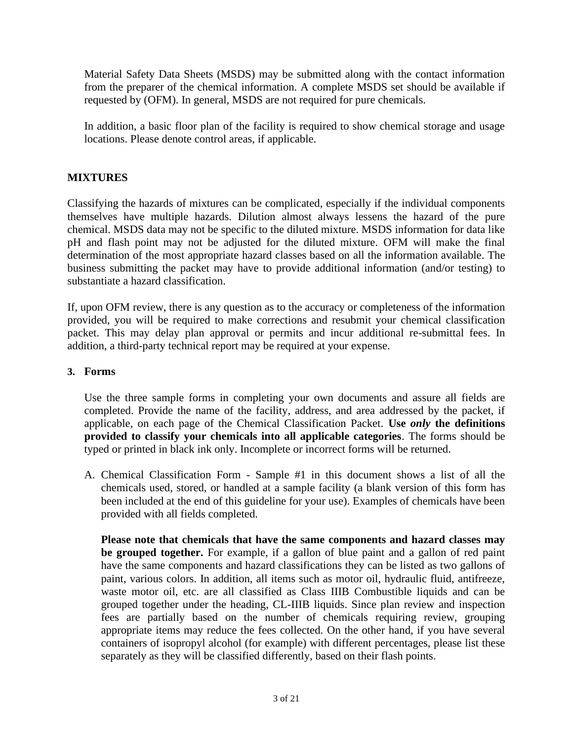Material Safety Data Sheets (MSDS) may be submitted along with the contact information from the preparer of the chemical information. A complete MSDS set should be available if requested by (OFM). In general, MSDS are not required for pure chemicals.

In addition, a basic floor plan of the facility is required to show chemical storage and usage locations. Please denote control areas, if applicable.

## **MIXTURES**

Classifying the hazards of mixtures can be complicated, especially if the individual components themselves have multiple hazards. Dilution almost always lessens the hazard of the pure chemical. MSDS data may not be specific to the diluted mixture. MSDS information for data like pH and flash point may not be adjusted for the diluted mixture. OFM will make the final determination of the most appropriate hazard classes based on all the information available. The business submitting the packet may have to provide additional information (and/or testing) to substantiate a hazard classification.

If, upon OFM review, there is any question as to the accuracy or completeness of the information provided, you will be required to make corrections and resubmit your chemical classification packet. This may delay plan approval or permits and incur additional re-submittal fees. In addition, a third-party technical report may be required at your expense.

## **3. Forms**

Use the three sample forms in completing your own documents and assure all fields are completed. Provide the name of the facility, address, and area addressed by the packet, if applicable, on each page of the Chemical Classification Packet. **Use** *only* **the definitions provided to classify your chemicals into all applicable categories**. The forms should be typed or printed in black ink only. Incomplete or incorrect forms will be returned.

A. Chemical Classification Form - Sample #1 in this document shows a list of all the chemicals used, stored, or handled at a sample facility (a blank version of this form has been included at the end of this guideline for your use). Examples of chemicals have been provided with all fields completed.

**Please note that chemicals that have the same components and hazard classes may be grouped together.** For example, if a gallon of blue paint and a gallon of red paint have the same components and hazard classifications they can be listed as two gallons of paint, various colors. In addition, all items such as motor oil, hydraulic fluid, antifreeze, waste motor oil, etc. are all classified as Class IIIB Combustible liquids and can be grouped together under the heading, CL-IIIB liquids. Since plan review and inspection fees are partially based on the number of chemicals requiring review, grouping appropriate items may reduce the fees collected. On the other hand, if you have several containers of isopropyl alcohol (for example) with different percentages, please list these separately as they will be classified differently, based on their flash points.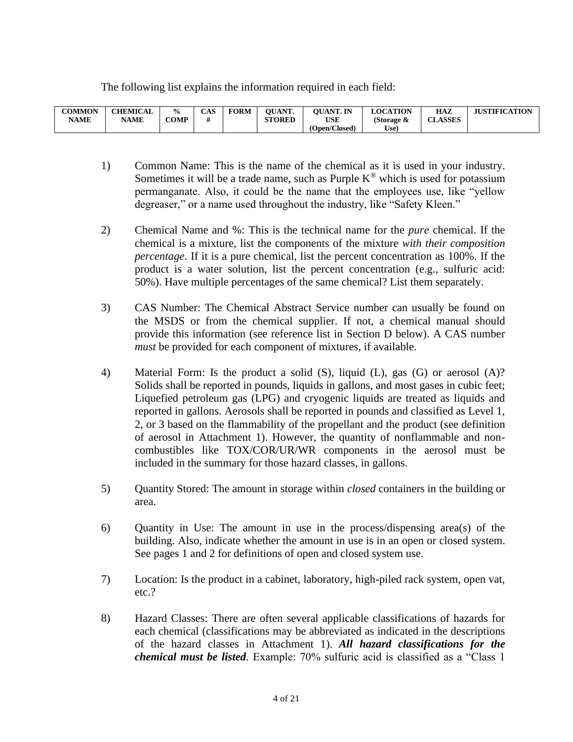The following list explains the information required in each field:

| <b>COMMON</b><br><b>NAME</b> | <b>CHEMICAL</b><br><b>NAME</b> | $\frac{6}{9}$<br>COMP | <b>CAS</b> | <b>FORM</b> | <b>OUANT.</b><br><b>STORED</b> | <b>OUANT. IN</b><br>USE | <b>LOCATION</b><br>(Storage & | HAZ<br><b>CLASSES</b> | <b>JUSTIFICATION</b> |
|------------------------------|--------------------------------|-----------------------|------------|-------------|--------------------------------|-------------------------|-------------------------------|-----------------------|----------------------|
|                              |                                |                       |            |             |                                | (Open/Closed)           | Use)                          |                       |                      |

- 1) Common Name: This is the name of the chemical as it is used in your industry. Sometimes it will be a trade name, such as Purple  $K^{\circledast}$  which is used for potassium permanganate. Also, it could be the name that the employees use, like "yellow degreaser," or a name used throughout the industry, like "Safety Kleen."
- 2) Chemical Name and %: This is the technical name for the *pure* chemical. If the chemical is a mixture, list the components of the mixture *with their composition percentage*. If it is a pure chemical, list the percent concentration as 100%. If the product is a water solution, list the percent concentration (e.g., sulfuric acid: 50%). Have multiple percentages of the same chemical? List them separately.
- 3) CAS Number: The Chemical Abstract Service number can usually be found on the MSDS or from the chemical supplier. If not, a chemical manual should provide this information (see reference list in Section D below). A CAS number *must* be provided for each component of mixtures, if available.
- 4) Material Form: Is the product a solid (S), liquid (L), gas (G) or aerosol (A)? Solids shall be reported in pounds, liquids in gallons, and most gases in cubic feet; Liquefied petroleum gas (LPG) and cryogenic liquids are treated as liquids and reported in gallons. Aerosols shall be reported in pounds and classified as Level 1, 2, or 3 based on the flammability of the propellant and the product (see definition of aerosol in Attachment 1). However, the quantity of nonflammable and noncombustibles like TOX/COR/UR/WR components in the aerosol must be included in the summary for those hazard classes, in gallons.
- 5) Quantity Stored: The amount in storage within *closed* containers in the building or area.
- 6) Quantity in Use: The amount in use in the process/dispensing area(s) of the building. Also, indicate whether the amount in use is in an open or closed system. See pages 1 and 2 for definitions of open and closed system use.
- 7) Location: Is the product in a cabinet, laboratory, high-piled rack system, open vat, etc.?
- 8) Hazard Classes: There are often several applicable classifications of hazards for each chemical (classifications may be abbreviated as indicated in the descriptions of the hazard classes in Attachment 1). *All hazard classifications for the chemical must be listed.* Example: 70% sulfuric acid is classified as a "Class 1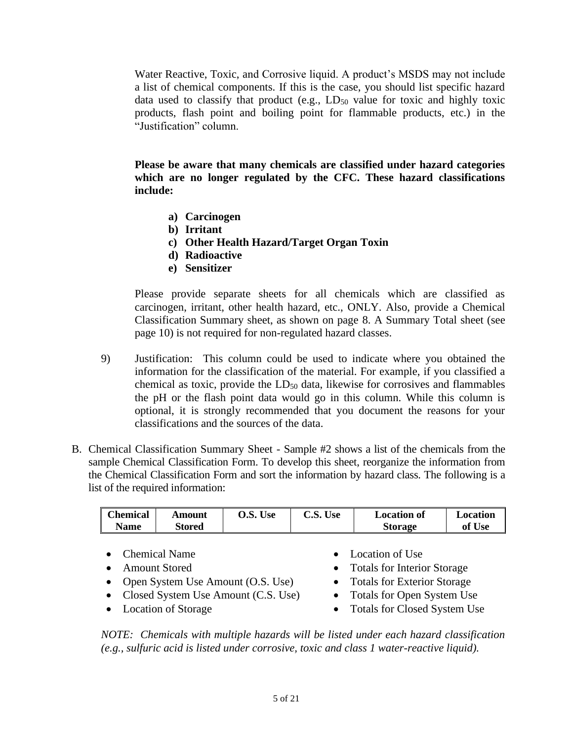Water Reactive, Toxic, and Corrosive liquid. A product's MSDS may not include a list of chemical components. If this is the case, you should list specific hazard data used to classify that product (e.g.,  $LD_{50}$  value for toxic and highly toxic products, flash point and boiling point for flammable products, etc.) in the "Justification" column.

**Please be aware that many chemicals are classified under hazard categories which are no longer regulated by the CFC. These hazard classifications include:**

- **a) Carcinogen**
- **b) Irritant**
- **c) Other Health Hazard/Target Organ Toxin**
- **d) Radioactive**
- **e) Sensitizer**

Please provide separate sheets for all chemicals which are classified as carcinogen, irritant, other health hazard, etc., ONLY. Also, provide a Chemical Classification Summary sheet, as shown on page 8. A Summary Total sheet (see page 10) is not required for non-regulated hazard classes.

- 9) Justification: This column could be used to indicate where you obtained the information for the classification of the material. For example, if you classified a chemical as toxic, provide the  $LD_{50}$  data, likewise for corrosives and flammables the pH or the flash point data would go in this column. While this column is optional, it is strongly recommended that you document the reasons for your classifications and the sources of the data.
- B. Chemical Classification Summary Sheet Sample #2 shows a list of the chemicals from the sample Chemical Classification Form. To develop this sheet, reorganize the information from the Chemical Classification Form and sort the information by hazard class. The following is a list of the required information:

| <b>Chemical</b><br><b>Name</b> | <b>Amount</b><br>Stored | O.S. Use | C.S. Use | <b>Location of</b><br><b>Storage</b> | Location<br>of Use |
|--------------------------------|-------------------------|----------|----------|--------------------------------------|--------------------|
|                                | <b>Chemical Name</b>    |          |          | • Location of Use                    |                    |
|                                | <b>Amount Stored</b>    |          |          | <b>Totals for Interior Storage</b>   |                    |

- Open System Use Amount (O.S. Use) Totals for Exterior Storage
- Closed System Use Amount (C.S. Use) Totals for Open System Use
- 
- 
- 
- 
- Location of Storage Totals for Closed System Use

*NOTE: Chemicals with multiple hazards will be listed under each hazard classification (e.g., sulfuric acid is listed under corrosive, toxic and class 1 water-reactive liquid).*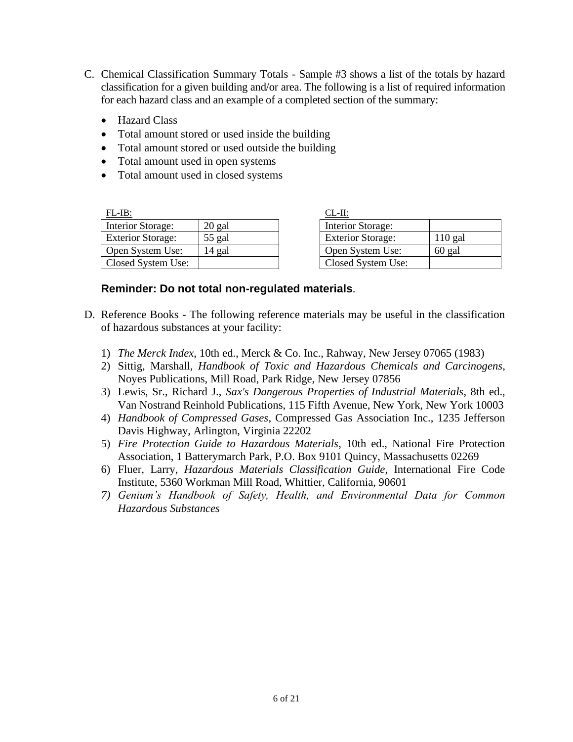- C. Chemical Classification Summary Totals Sample #3 shows a list of the totals by hazard classification for a given building and/or area. The following is a list of required information for each hazard class and an example of a completed section of the summary:
	- Hazard Class
	- Total amount stored or used inside the building
	- Total amount stored or used outside the building
	- Total amount used in open systems
	- Total amount used in closed systems

| $FL-IB:$                 |        | CL-II:                   |           |
|--------------------------|--------|--------------------------|-----------|
| Interior Storage:        | 20 gal | Interior Storage:        |           |
| <b>Exterior Storage:</b> | 55 gal | <b>Exterior Storage:</b> | $110$ gal |
| Open System Use:         | 14 gal | Open System Use:         | 60 gal    |
| Closed System Use:       |        | Closed System Use:       |           |

| CL-II:                   |           |
|--------------------------|-----------|
| <b>Interior Storage:</b> |           |
| <b>Exterior Storage:</b> | $110$ gal |
| Open System Use:         | 60 gal    |
| Closed System Use:       |           |

## **Reminder: Do not total non-regulated materials**.

- D. Reference Books The following reference materials may be useful in the classification of hazardous substances at your facility:
	- 1) *The Merck Index*, 10th ed., Merck & Co. Inc., Rahway, New Jersey 07065 (1983)
	- 2) Sittig, Marshall, *Handbook of Toxic and Hazardous Chemicals and Carcinogens*, Noyes Publications, Mill Road, Park Ridge, New Jersey 07856
	- 3) Lewis, Sr., Richard J., *Sax's Dangerous Properties of Industrial Materials*, 8th ed., Van Nostrand Reinhold Publications, 115 Fifth Avenue, New York, New York 10003
	- 4) *Handbook of Compressed Gases*, Compressed Gas Association Inc., 1235 Jefferson Davis Highway, Arlington, Virginia 22202
	- 5) *Fire Protection Guide to Hazardous Materials*, 10th ed., National Fire Protection Association, 1 Batterymarch Park, P.O. Box 9101 Quincy, Massachusetts 02269
	- 6) Fluer, Larry, *Hazardous Materials Classification Guide*, International Fire Code Institute, 5360 Workman Mill Road, Whittier, California, 90601
	- *7) Genium's Handbook of Safety, Health, and Environmental Data for Common Hazardous Substances*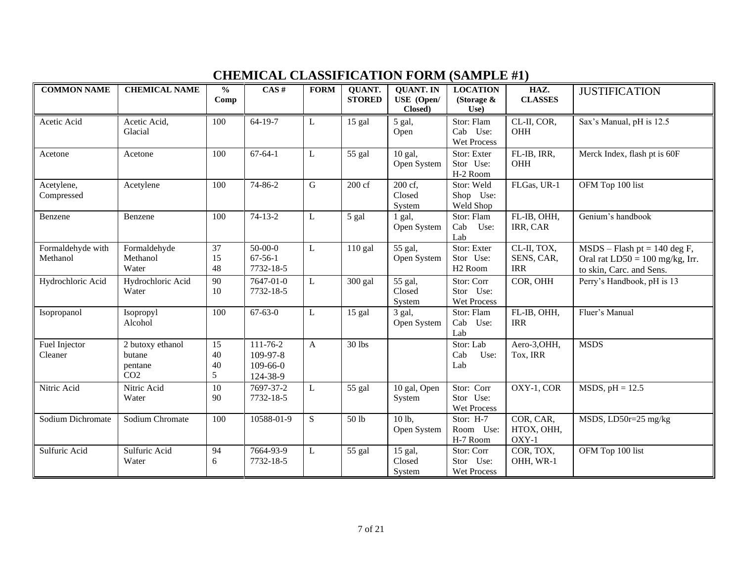# **CHEMICAL CLASSIFICATION FORM (SAMPLE #1)**

| <b>COMMON NAME</b>            | <b>CHEMICAL NAME</b>                                     | $\frac{0}{0}$<br>Comp | CAS#                                         | <b>FORM</b>  | <b>QUANT.</b><br><b>STORED</b> | <b>QUANT. IN</b><br>USE (Open/<br>Closed) | <b>LOCATION</b><br>(Storage $\&$<br>Use)        | HAZ.<br><b>CLASSES</b>                  | <b>JUSTIFICATION</b>                                                                            |
|-------------------------------|----------------------------------------------------------|-----------------------|----------------------------------------------|--------------|--------------------------------|-------------------------------------------|-------------------------------------------------|-----------------------------------------|-------------------------------------------------------------------------------------------------|
| Acetic Acid                   | Acetic Acid,<br>Glacial                                  | 100                   | 64-19-7                                      | L            | $\overline{15}$ gal            | 5 gal,<br>Open                            | Stor: Flam<br>Cab Use:<br><b>Wet Process</b>    | CL-II, COR,<br>OHH                      | Sax's Manual, pH is 12.5                                                                        |
| Acetone                       | Acetone                                                  | 100                   | $67 - 64 - 1$                                | L            | 55 gal                         | 10 gal,<br>Open System                    | Stor: Exter<br>Stor Use:<br>H-2 Room            | FL-IB, IRR,<br>OHH                      | Merck Index, flash pt is 60F                                                                    |
| Acetylene,<br>Compressed      | Acetylene                                                | 100                   | 74-86-2                                      | G            | 200 cf                         | 200 cf,<br>Closed<br>System               | Stor: Weld<br>Shop Use:<br>Weld Shop            | FLGas, UR-1                             | OFM Top 100 list                                                                                |
| Benzene                       | Benzene                                                  | 100                   | $74-13-2$                                    | L            | 5 gal                          | $1$ gal,<br>Open System                   | Stor: Flam<br>Cab<br>Use:<br>Lab                | FL-IB, OHH,<br>IRR, CAR                 | Genium's handbook                                                                               |
| Formaldehyde with<br>Methanol | Formaldehyde<br>Methanol<br>Water                        | 37<br>15<br>48        | $50-00-0$<br>$67 - 56 - 1$<br>7732-18-5      | L            | $110$ gal                      | 55 gal,<br>Open System                    | Stor: Exter<br>Stor Use:<br>H <sub>2</sub> Room | CL-II, TOX,<br>SENS, CAR,<br><b>IRR</b> | $MSDS - Flash pt = 140 deg F,$<br>Oral rat $LD50 = 100$ mg/kg, Irr.<br>to skin, Carc. and Sens. |
| Hydrochloric Acid             | Hydrochloric Acid<br>Water                               | 90<br>10              | 7647-01-0<br>7732-18-5                       | L            | 300 gal                        | 55 gal,<br>Closed<br>System               | Stor: Corr<br>Stor Use:<br>Wet Process          | COR, OHH                                | Perry's Handbook, pH is 13                                                                      |
| Isopropanol                   | Isopropyl<br>Alcohol                                     | 100                   | $67 - 63 - 0$                                | L            | 15 gal                         | 3 gal,<br>Open System                     | Stor: Flam<br>Cab<br>Use:<br>Lab                | FL-IB, OHH,<br><b>IRR</b>               | Fluer's Manual                                                                                  |
| Fuel Injector<br>Cleaner      | 2 butoxy ethanol<br>butane<br>pentane<br>CO <sub>2</sub> | 15<br>40<br>40<br>5   | 111-76-2<br>109-97-8<br>109-66-0<br>124-38-9 | $\mathbf{A}$ | 30 lbs                         |                                           | Stor: Lab<br>Cab<br>Use:<br>Lab                 | Aero-3, OHH,<br>Tox, IRR                | <b>MSDS</b>                                                                                     |
| Nitric Acid                   | Nitric Acid<br>Water                                     | 10<br>90              | 7697-37-2<br>7732-18-5                       | L            | $\overline{55}$ gal            | 10 gal, Open<br>System                    | Stor: Corr<br>Stor Use:<br>Wet Process          | OXY-1, COR                              | $MSDS, pH = 12.5$                                                                               |
| Sodium Dichromate             | Sodium Chromate                                          | 100                   | 10588-01-9                                   | S            | 50 lb                          | 10 lb,<br>Open System                     | Stor: H-7<br>Room Use:<br>H-7 Room              | COR, CAR,<br>HTOX, OHH,<br>OXY-1        | MSDS, LD50r=25 mg/kg                                                                            |
| Sulfuric Acid                 | Sulfuric Acid<br>Water                                   | 94<br>6               | 7664-93-9<br>7732-18-5                       | L            | 55 gal                         | 15 gal,<br>Closed<br>System               | Stor: Corr<br>Stor Use:<br>Wet Process          | COR, TOX,<br>OHH, WR-1                  | OFM Top 100 list                                                                                |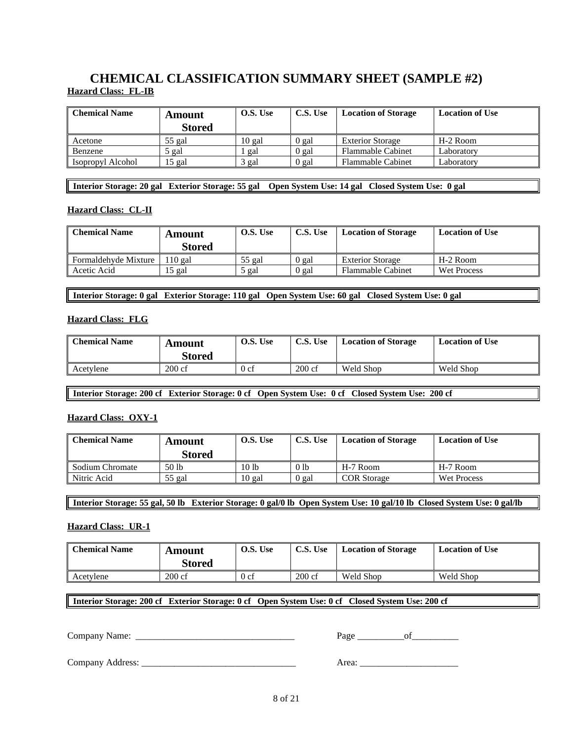# **CHEMICAL CLASSIFICATION SUMMARY SHEET (SAMPLE #2) Hazard Class: FL-IB**

| <b>Chemical Name</b> | Amount<br><b>Stored</b> | O.S. Use | C.S. Use | <b>Location of Storage</b> | <b>Location of Use</b> |
|----------------------|-------------------------|----------|----------|----------------------------|------------------------|
| Acetone              | 55 gal                  | $10$ gal | 0 gal    | <b>Exterior Storage</b>    | H-2 Room               |
| Benzene              | gal                     | gal      | 0 gal    | <b>Flammable Cabinet</b>   | Laboratory             |
| Isopropyl Alcohol    | 15 gal                  | gal      | 0 gal    | <b>Flammable Cabinet</b>   | Laboratory             |

**Interior Storage: 20 gal Exterior Storage: 55 gal Open System Use: 14 gal Closed System Use: 0 gal** 

#### **Hazard Class: CL-II**

| <b>Chemical Name</b> | Amount        | O.S. Use | C.S. Use | <b>Location of Storage</b> | <b>Location of Use</b> |
|----------------------|---------------|----------|----------|----------------------------|------------------------|
|                      | <b>Stored</b> |          |          |                            |                        |
| Formaldehyde Mixture | $110$ gal     | $55$ gal | ) gal    | <b>Exterior Storage</b>    | H-2 Room               |
| Acetic Acid          | 15 gal        | ΄ gal    | 0 gal    | <b>Flammable Cabinet</b>   | Wet Process            |

**Interior Storage: 0 gal Exterior Storage: 110 gal Open System Use: 60 gal Closed System Use: 0 gal**

#### **Hazard Class: FLG**

| <b>Chemical Name</b> | Amount<br>Stored | O.S. Use | C.S. Use | <b>Location of Storage</b> | <b>Location of Use</b> |
|----------------------|------------------|----------|----------|----------------------------|------------------------|
| Acetylene            | $200 \text{ cf}$ | 0 cf     | 200 cf   | Weld Shop                  | Weld Shop              |

**Interior Storage: 200 cf Exterior Storage: 0 cf Open System Use: 0 cf Closed System Use: 200 cf**

### **Hazard Class: OXY-1**

| <b>Chemical Name</b> | Amount<br>Stored | O.S. Use         | C.S. Use        | <b>Location of Storage</b> | <b>Location of Use</b> |
|----------------------|------------------|------------------|-----------------|----------------------------|------------------------|
| Sodium Chromate      | 50 lb            | 10 <sub>1b</sub> | 0 <sub>1b</sub> | H-7 Room                   | H-7 Room               |
| Nitric Acid          | 55 gal           | 10 gal           | 0 gal           | <b>COR</b> Storage         | Wet Process            |

**Interior Storage: 55 gal, 50 lb Exterior Storage: 0 gal/0 lb Open System Use: 10 gal/10 lb Closed System Use: 0 gal/lb**

#### **Hazard Class: UR-1**

| <b>Chemical Name</b> | Amount<br>Stored | O.S. Use | C.S. Use         | <b>Location of Storage</b> | <b>Location of Use</b> |
|----------------------|------------------|----------|------------------|----------------------------|------------------------|
| Acetylene            | $200 \text{ cf}$ | 0 cf     | $200 \text{ cf}$ | Weld Shop                  | Weld Shop              |

**Interior Storage: 200 cf Exterior Storage: 0 cf Open System Use: 0 cf Closed System Use: 200 cf**

Company Name: \_\_\_\_\_\_\_\_\_\_\_\_\_\_\_\_\_\_\_\_\_\_\_\_\_\_\_\_\_\_\_\_\_\_ Page \_\_\_\_\_\_\_\_\_\_of\_\_\_\_\_\_\_\_\_\_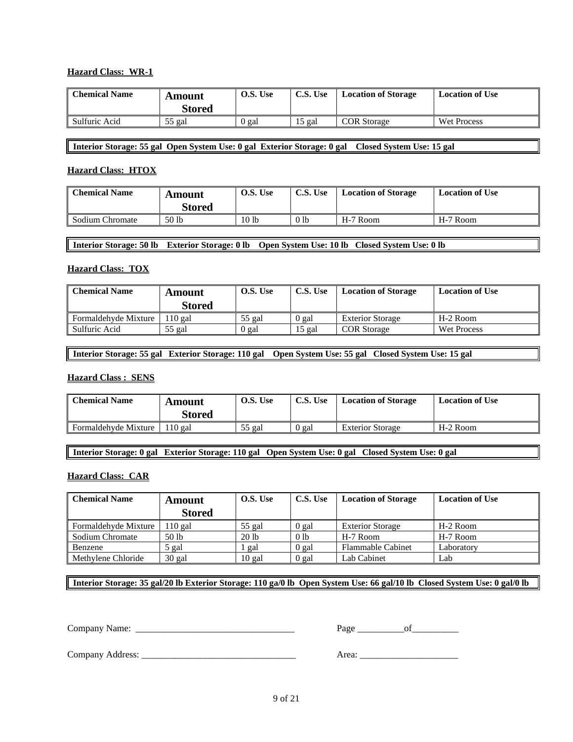### **Hazard Class: WR-1**

| <b>Chemical Name</b> | Amount<br><b>Stored</b> | O.S. Use | C.S. Use | <b>Location of Storage</b> | <b>Location of Use</b> |
|----------------------|-------------------------|----------|----------|----------------------------|------------------------|
| Sulfuric Acid        | $55$ gal                | 0 gal    | 5 gal    | <b>COR</b> Storage         | <b>Wet Process</b>     |

**Interior Storage: 55 gal Open System Use: 0 gal Exterior Storage: 0 gal Closed System Use: 15 gal**

#### **Hazard Class: HTOX**

| <b>Chemical Name</b> | Amount<br><b>Stored</b> | O.S. Use         | C.S. Use        | <b>Location of Storage</b> | <b>Location of Use</b> |
|----------------------|-------------------------|------------------|-----------------|----------------------------|------------------------|
| Sodium Chromate      | 50 lb                   | 10 <sub>1b</sub> | 0 <sub>1b</sub> | H-7 Room                   | H-7 Room               |

#### **Interior Storage: 50 lb Exterior Storage: 0 lb Open System Use: 10 lb Closed System Use: 0 lb**

### **Hazard Class: TOX**

| <b>Chemical Name</b> | Amount<br>Stored | O.S. Use | C.S. Use | <b>Location of Storage</b> | <b>Location of Use</b> |
|----------------------|------------------|----------|----------|----------------------------|------------------------|
| Formaldehyde Mixture | $110$ gal        | $55$ gal | ) gal    | <b>Exterior Storage</b>    | H-2 Room               |
| Sulfuric Acid        | $55$ gal         | 0 gal    | 5 gal    | <b>COR</b> Storage         | <b>Wet Process</b>     |

**Interior Storage: 55 gal Exterior Storage: 110 gal Open System Use: 55 gal Closed System Use: 15 gal**

#### **Hazard Class : SENS**

| <b>Chemical Name</b> | Amount<br>Stored | O.S. Use | C.S. Use | <b>Location of Storage</b> | <b>Location of Use</b> |
|----------------------|------------------|----------|----------|----------------------------|------------------------|
| Formaldehyde Mixture | $110$ gal        | 55 gal   | ) gal    | <b>Exterior Storage</b>    | H-2 Room               |

**Interior Storage: 0 gal Exterior Storage: 110 gal Open System Use: 0 gal Closed System Use: 0 gal**

#### **Hazard Class: CAR**

| <b>Chemical Name</b> | <b>Amount</b> | O.S. Use | C.S. Use        | <b>Location of Storage</b> | <b>Location of Use</b> |
|----------------------|---------------|----------|-----------------|----------------------------|------------------------|
|                      | <b>Stored</b> |          |                 |                            |                        |
| Formaldehyde Mixture | $10$ gal      | $55$ gal | 0 gal           | <b>Exterior Storage</b>    | H-2 Room               |
| Sodium Chromate      | 50 lb         | 20 lb    | 0 <sub>1b</sub> | H-7 Room                   | H-7 Room               |
| Benzene              | 5 gal         | gal      | 0 gal           | <b>Flammable Cabinet</b>   | Laboratory             |
| Methylene Chloride   | $30$ gal      | 10 gal   | 0 gal           | Lab Cabinet                | Lab                    |

**Interior Storage: 35 gal/20 lb Exterior Storage: 110 ga/0 lb Open System Use: 66 gal/10 lb Closed System Use: 0 gal/0 lb**

Company Name: \_\_\_\_\_\_\_\_\_\_\_\_\_\_\_\_\_\_\_\_\_\_\_\_\_\_\_\_\_\_\_\_\_\_ Page \_\_\_\_\_\_\_\_\_\_of\_\_\_\_\_\_\_\_\_\_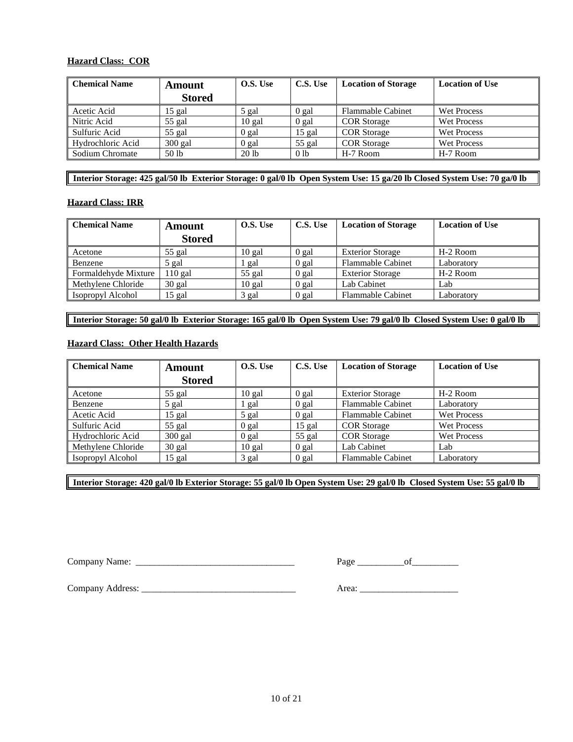### **Hazard Class: COR**

| <b>Chemical Name</b> | <b>Amount</b> | O.S. Use         | C.S. Use        | <b>Location of Storage</b> | <b>Location of Use</b> |
|----------------------|---------------|------------------|-----------------|----------------------------|------------------------|
|                      | <b>Stored</b> |                  |                 |                            |                        |
| Acetic Acid          | 15 gal        | 5 gal            | 0 gal           | <b>Flammable Cabinet</b>   | Wet Process            |
| Nitric Acid          | 55 gal        | 10 gal           | 0 gal           | <b>COR</b> Storage         | <b>Wet Process</b>     |
| Sulfuric Acid        | $55$ gal      | 0 gal            | 15 gal          | <b>COR</b> Storage         | Wet Process            |
| Hydrochloric Acid    | $300$ gal     | 0 gal            | $55$ gal        | <b>COR</b> Storage         | Wet Process            |
| Sodium Chromate      | 50 lb         | 20 <sub>1b</sub> | 0 <sub>1b</sub> | H-7 Room                   | H-7 Room               |

**Interior Storage: 425 gal/50 lb Exterior Storage: 0 gal/0 lb Open System Use: 15 ga/20 lb Closed System Use: 70 ga/0 lb**

#### **Hazard Class: IRR**

| <b>Chemical Name</b> | <b>Amount</b> | O.S. Use | C.S. Use | <b>Location of Storage</b> | <b>Location of Use</b> |
|----------------------|---------------|----------|----------|----------------------------|------------------------|
|                      | <b>Stored</b> |          |          |                            |                        |
| Acetone              | $55$ gal      | $10$ gal | 0 gal    | <b>Exterior Storage</b>    | H-2 Room               |
| Benzene              | 5 gal         | gal      | $0$ gal  | <b>Flammable Cabinet</b>   | Laboratory             |
| Formaldehyde Mixture | $110$ gal     | $55$ gal | 0 gal    | <b>Exterior Storage</b>    | H-2 Room               |
| Methylene Chloride   | 30 gal        | $10$ gal | 0 gal    | Lab Cabinet                | Lab                    |
| Isopropyl Alcohol    | 15 gal        | 3 gal    | 0 gal    | <b>Flammable Cabinet</b>   | Laboratory             |

**Interior Storage: 50 gal/0 lb Exterior Storage: 165 gal/0 lb Open System Use: 79 gal/0 lb Closed System Use: 0 gal/0 lb**

#### **Hazard Class: Other Health Hazards**

| <b>Chemical Name</b> | Amount        | O.S. Use | C.S. Use | <b>Location of Storage</b> | <b>Location of Use</b> |
|----------------------|---------------|----------|----------|----------------------------|------------------------|
|                      | <b>Stored</b> |          |          |                            |                        |
| Acetone              | $55$ gal      | $10$ gal | $0$ gal  | <b>Exterior Storage</b>    | H-2 Room               |
| Benzene              | 5 gal         | 1 gal    | $0$ gal  | <b>Flammable Cabinet</b>   | Laboratory             |
| Acetic Acid          | 15 gal        | 5 gal    | $0$ gal  | <b>Flammable Cabinet</b>   | <b>Wet Process</b>     |
| Sulfuric Acid        | $55$ gal      | 0 gal    | $15$ gal | <b>COR</b> Storage         | <b>Wet Process</b>     |
| Hydrochloric Acid    | $300$ gal     | $0$ gal  | $55$ gal | <b>COR</b> Storage         | <b>Wet Process</b>     |
| Methylene Chloride   | $30$ gal      | $10$ gal | $0$ gal  | Lab Cabinet                | Lab                    |
| Isopropyl Alcohol    | 15 gal        | 3 gal    | 0 gal    | <b>Flammable Cabinet</b>   | Laboratory             |

**Interior Storage: 420 gal/0 lb Exterior Storage: 55 gal/0 lb Open System Use: 29 gal/0 lb Closed System Use: 55 gal/0 lb**

Company Name: \_\_\_\_\_\_\_\_\_\_\_\_\_\_\_\_\_\_\_\_\_\_\_\_\_\_\_\_\_\_\_\_\_\_ Page \_\_\_\_\_\_\_\_\_\_of\_\_\_\_\_\_\_\_\_\_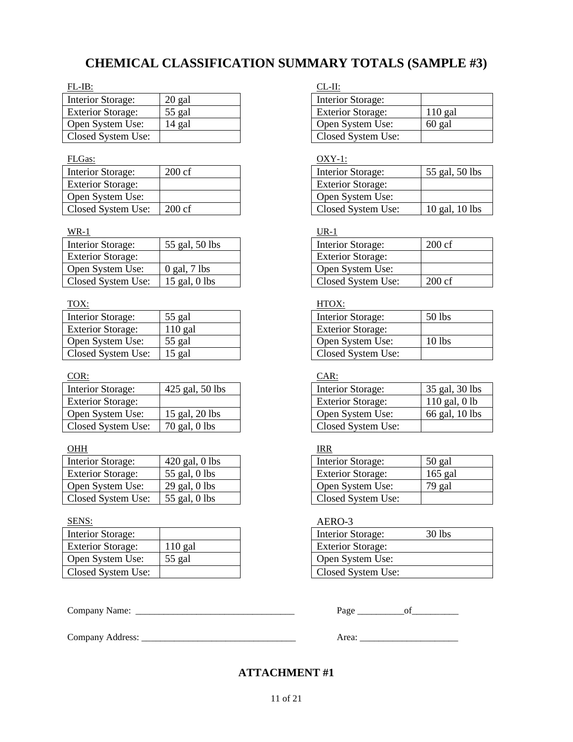# **CHEMICAL CLASSIFICATION SUMMARY TOTALS (SAMPLE #3)**

| $FL-IB:$                 |          | CL-II:                   |           |
|--------------------------|----------|--------------------------|-----------|
| Interior Storage:        | $20$ gal | Interior Storage:        |           |
| <b>Exterior Storage:</b> | 55 gal   | <b>Exterior Storage:</b> | $110$ gal |
| Open System Use:         | 14 gal   | Open System Use:         | 60 gal    |
| Closed System Use:       |          | Closed System Use:       |           |

| <b>Interior Storage:</b> | $200 \text{ cf}$ | Interior Storage:        |
|--------------------------|------------------|--------------------------|
| <b>Exterior Storage:</b> |                  | <b>Exterior Storage:</b> |
| Open System Use:         |                  | Open System Use:         |
| Closed System Use:       | $200 \text{ cf}$ | Closed System Us         |

### $\frac{WR-1}{MR}$

| Interior Storage:        | 55 gal, 50 lbs   | Interior Storage:        | $200 \text{ cf}$ |
|--------------------------|------------------|--------------------------|------------------|
| <b>Exterior Storage:</b> |                  | <b>Exterior Storage:</b> |                  |
| Open System Use:         | $0$ gal, $7$ lbs | Open System Use:         |                  |
| Closed System Use:       | $15$ gal, 0 lbs  | Closed System Use:       | $200 \text{ cf}$ |

| Interior Storage:        | 55 gal  | Interior Storage:        | 50 lbs |
|--------------------------|---------|--------------------------|--------|
| <b>Exterior Storage:</b> | 110 gal | <b>Exterior Storage:</b> |        |
| Open System Use:         | 55 gal  | Open System Use:         | 10 lbs |
| Closed System Use:       | 15 gal  | Closed System Use:       |        |

### COR: CAR:

| Interior Storage:        | 425 gal, 50 lbs | Interior Storage:        | 35 gal, 30 lb   |
|--------------------------|-----------------|--------------------------|-----------------|
| <b>Exterior Storage:</b> |                 | <b>Exterior Storage:</b> | $110$ gal, 0 lb |
| Open System Use:         | 15 gal, 20 lbs  | Open System Use:         | 66 gal, 10 lb   |
| Closed System Use:       | 70 gal, 0 lbs   | Closed System Use:       |                 |

### OHH IRR

| Interior Storage:        | $420$ gal, 0 lbs | Interior Storage:        | $50$ gal  |
|--------------------------|------------------|--------------------------|-----------|
| <b>Exterior Storage:</b> | 55 gal, $0$ lbs  | <b>Exterior Storage:</b> | $165$ gal |
| Open System Use:         | $29$ gal, 0 lbs  | Open System Use:         | 79 gal    |
| Closed System Use:       | 55 gal, $0$ lbs  | Closed System Use:       |           |

| Interior Storage:        |        |                  | Interior Storage:        | 30 lbs |
|--------------------------|--------|------------------|--------------------------|--------|
| <b>Exterior Storage:</b> | 10 gal |                  | <b>Exterior Storage:</b> |        |
| Open System Use:         | 55 gal | Open System Use: |                          |        |
| Closed System Use:       |        |                  | Closed System Use:       |        |

Company Address: \_\_\_\_\_\_\_\_\_\_\_\_\_\_\_\_\_\_\_\_\_\_\_\_\_\_\_\_\_\_\_\_\_ Area: \_\_\_\_\_\_\_\_\_\_\_\_\_\_\_\_\_\_\_\_\_

| Interior Storage:        |           |
|--------------------------|-----------|
| <b>Exterior Storage:</b> | $110$ gal |
| Open System Use:         | $60$ gal  |
| Closed System Use:       |           |

### FLGas: OXY-1:

| <b>Interior Storage:</b> | $200 \text{ cf}$ | Interior Storage:        | 55 gal, 50 lbs     |
|--------------------------|------------------|--------------------------|--------------------|
| <b>Exterior Storage:</b> |                  | <b>Exterior Storage:</b> |                    |
| Open System Use:         |                  | Open System Use:         |                    |
| Closed System Use:       | $200 \text{ cf}$ | Closed System Use:       | $10$ gal, $10$ lbs |

| <b>Interior Storage:</b> | $200 \text{ cf}$ |
|--------------------------|------------------|
| <b>Exterior Storage:</b> |                  |
| Open System Use:         |                  |
| Closed System Use:       | $200 \text{ cf}$ |

## TOX: TOX:

| <b>Interior Storage:</b> | 50 lbs |
|--------------------------|--------|
| <b>Exterior Storage:</b> |        |
| Open System Use:         | 10 lbs |
| Closed System Use:       |        |

| <b>Interior Storage:</b> | 425 gal, 50 lbs | Interior Storage:        | 35 gal, 30 lbs  |
|--------------------------|-----------------|--------------------------|-----------------|
| <b>Exterior Storage:</b> |                 | <b>Exterior Storage:</b> | $110$ gal, 0 lb |
| Open System Use:         | 15 gal, 20 lbs  | Open System Use:         | 66 gal, 10 lbs  |
| Closed System Use:       | 70 gal, 0 lbs   | Closed System Use:       |                 |

| Interior Storage:        | $50$ gal  |
|--------------------------|-----------|
| <b>Exterior Storage:</b> | $165$ gal |
| Open System Use:         | 79 gal    |
| Closed System Use:       |           |

## SENS: AERO-3

| <b>Interior Storage:</b> | $30$ lbs |  |
|--------------------------|----------|--|
| <b>Exterior Storage:</b> |          |  |
| Open System Use:         |          |  |
| Closed System Use:       |          |  |

Company Name: \_\_\_\_\_\_\_\_\_\_\_\_\_\_\_\_\_\_\_\_\_\_\_\_\_\_\_\_\_\_\_\_\_\_ Page \_\_\_\_\_\_\_\_\_\_of\_\_\_\_\_\_\_\_\_\_

## **ATTACHMENT #1**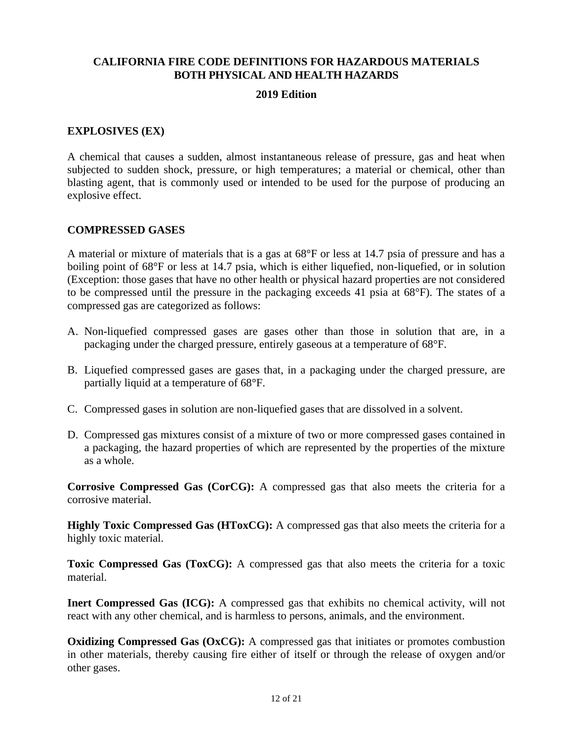## **CALIFORNIA FIRE CODE DEFINITIONS FOR HAZARDOUS MATERIALS BOTH PHYSICAL AND HEALTH HAZARDS**

## **2019 Edition**

## **EXPLOSIVES (EX)**

A chemical that causes a sudden, almost instantaneous release of pressure, gas and heat when subjected to sudden shock, pressure, or high temperatures; a material or chemical, other than blasting agent, that is commonly used or intended to be used for the purpose of producing an explosive effect.

## **COMPRESSED GASES**

A material or mixture of materials that is a gas at 68°F or less at 14.7 psia of pressure and has a boiling point of 68°F or less at 14.7 psia, which is either liquefied, non-liquefied, or in solution (Exception: those gases that have no other health or physical hazard properties are not considered to be compressed until the pressure in the packaging exceeds 41 psia at 68°F). The states of a compressed gas are categorized as follows:

- A. Non-liquefied compressed gases are gases other than those in solution that are, in a packaging under the charged pressure, entirely gaseous at a temperature of 68°F.
- B. Liquefied compressed gases are gases that, in a packaging under the charged pressure, are partially liquid at a temperature of 68°F.
- C. Compressed gases in solution are non-liquefied gases that are dissolved in a solvent.
- D. Compressed gas mixtures consist of a mixture of two or more compressed gases contained in a packaging, the hazard properties of which are represented by the properties of the mixture as a whole.

**Corrosive Compressed Gas (CorCG):** A compressed gas that also meets the criteria for a corrosive material.

**Highly Toxic Compressed Gas (HToxCG):** A compressed gas that also meets the criteria for a highly toxic material.

**Toxic Compressed Gas (ToxCG):** A compressed gas that also meets the criteria for a toxic material.

**Inert Compressed Gas (ICG):** A compressed gas that exhibits no chemical activity, will not react with any other chemical, and is harmless to persons, animals, and the environment.

**Oxidizing Compressed Gas (OxCG):** A compressed gas that initiates or promotes combustion in other materials, thereby causing fire either of itself or through the release of oxygen and/or other gases.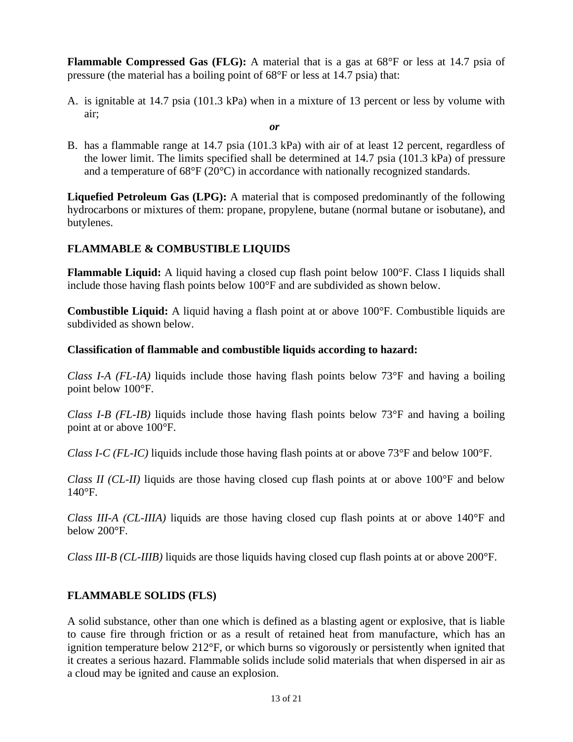**Flammable Compressed Gas (FLG):** A material that is a gas at 68°F or less at 14.7 psia of pressure (the material has a boiling point of 68°F or less at 14.7 psia) that:

A. is ignitable at 14.7 psia (101.3 kPa) when in a mixture of 13 percent or less by volume with air;

### *or*

B. has a flammable range at 14.7 psia (101.3 kPa) with air of at least 12 percent, regardless of the lower limit. The limits specified shall be determined at 14.7 psia (101.3 kPa) of pressure and a temperature of 68°F (20°C) in accordance with nationally recognized standards.

**Liquefied Petroleum Gas (LPG):** A material that is composed predominantly of the following hydrocarbons or mixtures of them: propane, propylene, butane (normal butane or isobutane), and butylenes.

## **FLAMMABLE & COMBUSTIBLE LIQUIDS**

**Flammable Liquid:** A liquid having a closed cup flash point below 100°F. Class I liquids shall include those having flash points below 100°F and are subdivided as shown below.

**Combustible Liquid:** A liquid having a flash point at or above 100°F. Combustible liquids are subdivided as shown below.

## **Classification of flammable and combustible liquids according to hazard:**

*Class I-A (FL-IA)* liquids include those having flash points below 73°F and having a boiling point below 100°F.

*Class I-B (FL-IB)* liquids include those having flash points below 73°F and having a boiling point at or above 100°F.

*Class I-C (FL-IC)* liquids include those having flash points at or above 73°F and below 100°F.

*Class II (CL-II)* liquids are those having closed cup flash points at or above 100°F and below  $140^\circ F$ .

*Class III-A (CL-IIIA)* liquids are those having closed cup flash points at or above 140°F and below 200°F.

*Class III-B (CL-IIIB)* liquids are those liquids having closed cup flash points at or above 200°F.

## **FLAMMABLE SOLIDS (FLS)**

A solid substance, other than one which is defined as a blasting agent or explosive, that is liable to cause fire through friction or as a result of retained heat from manufacture, which has an ignition temperature below 212°F, or which burns so vigorously or persistently when ignited that it creates a serious hazard. Flammable solids include solid materials that when dispersed in air as a cloud may be ignited and cause an explosion.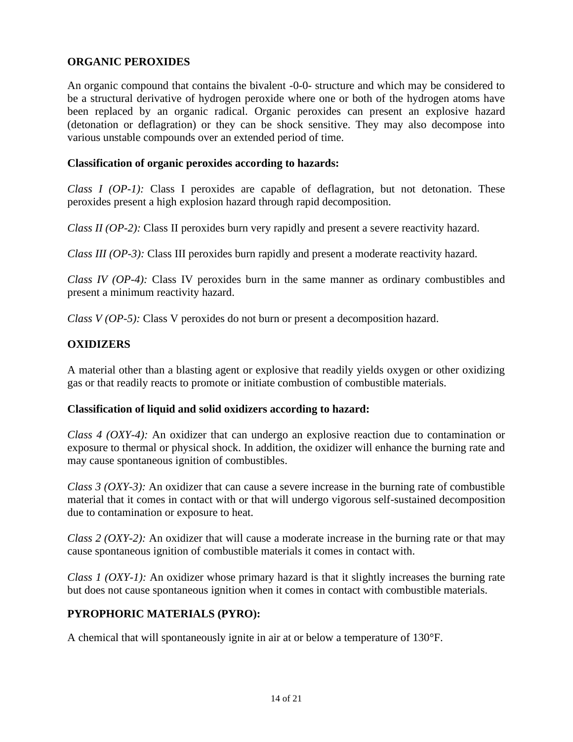## **ORGANIC PEROXIDES**

An organic compound that contains the bivalent -0-0- structure and which may be considered to be a structural derivative of hydrogen peroxide where one or both of the hydrogen atoms have been replaced by an organic radical. Organic peroxides can present an explosive hazard (detonation or deflagration) or they can be shock sensitive. They may also decompose into various unstable compounds over an extended period of time.

## **Classification of organic peroxides according to hazards:**

*Class I (OP-1):* Class I peroxides are capable of deflagration, but not detonation. These peroxides present a high explosion hazard through rapid decomposition.

*Class II (OP-2):* Class II peroxides burn very rapidly and present a severe reactivity hazard.

*Class III (OP-3):* Class III peroxides burn rapidly and present a moderate reactivity hazard.

*Class IV (OP-4):* Class IV peroxides burn in the same manner as ordinary combustibles and present a minimum reactivity hazard.

*Class V (OP-5):* Class V peroxides do not burn or present a decomposition hazard.

## **OXIDIZERS**

A material other than a blasting agent or explosive that readily yields oxygen or other oxidizing gas or that readily reacts to promote or initiate combustion of combustible materials.

## **Classification of liquid and solid oxidizers according to hazard:**

*Class 4 (OXY-4):* An oxidizer that can undergo an explosive reaction due to contamination or exposure to thermal or physical shock. In addition, the oxidizer will enhance the burning rate and may cause spontaneous ignition of combustibles.

*Class 3 (OXY-3):* An oxidizer that can cause a severe increase in the burning rate of combustible material that it comes in contact with or that will undergo vigorous self-sustained decomposition due to contamination or exposure to heat.

*Class 2 (OXY-2):* An oxidizer that will cause a moderate increase in the burning rate or that may cause spontaneous ignition of combustible materials it comes in contact with.

*Class 1 (OXY-1):* An oxidizer whose primary hazard is that it slightly increases the burning rate but does not cause spontaneous ignition when it comes in contact with combustible materials.

## **PYROPHORIC MATERIALS (PYRO):**

A chemical that will spontaneously ignite in air at or below a temperature of 130°F.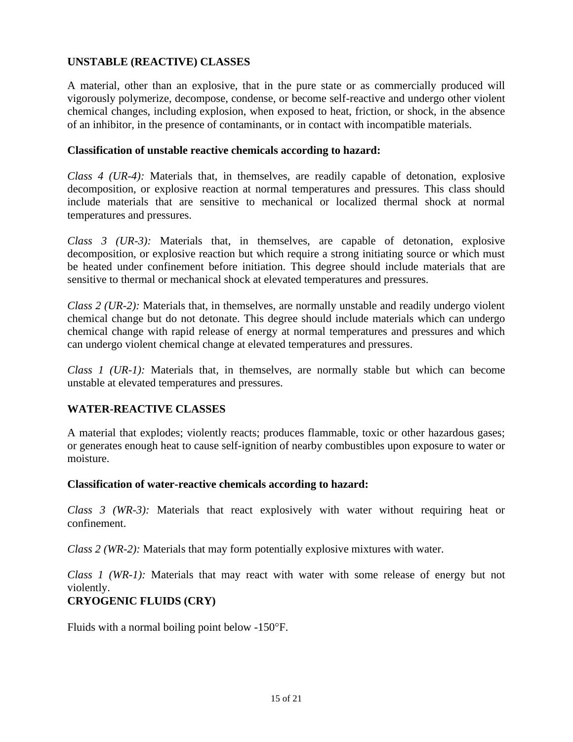## **UNSTABLE (REACTIVE) CLASSES**

A material, other than an explosive, that in the pure state or as commercially produced will vigorously polymerize, decompose, condense, or become self-reactive and undergo other violent chemical changes, including explosion, when exposed to heat, friction, or shock, in the absence of an inhibitor, in the presence of contaminants, or in contact with incompatible materials.

## **Classification of unstable reactive chemicals according to hazard:**

*Class 4 (UR-4):* Materials that, in themselves, are readily capable of detonation, explosive decomposition, or explosive reaction at normal temperatures and pressures. This class should include materials that are sensitive to mechanical or localized thermal shock at normal temperatures and pressures.

*Class 3 (UR-3):* Materials that, in themselves, are capable of detonation, explosive decomposition, or explosive reaction but which require a strong initiating source or which must be heated under confinement before initiation. This degree should include materials that are sensitive to thermal or mechanical shock at elevated temperatures and pressures.

*Class 2 (UR-2):* Materials that, in themselves, are normally unstable and readily undergo violent chemical change but do not detonate. This degree should include materials which can undergo chemical change with rapid release of energy at normal temperatures and pressures and which can undergo violent chemical change at elevated temperatures and pressures.

*Class 1 (UR-1):* Materials that, in themselves, are normally stable but which can become unstable at elevated temperatures and pressures.

## **WATER-REACTIVE CLASSES**

A material that explodes; violently reacts; produces flammable, toxic or other hazardous gases; or generates enough heat to cause self-ignition of nearby combustibles upon exposure to water or moisture.

## **Classification of water-reactive chemicals according to hazard:**

*Class 3 (WR-3):* Materials that react explosively with water without requiring heat or confinement.

*Class 2 (WR-2):* Materials that may form potentially explosive mixtures with water.

*Class 1 (WR-1):* Materials that may react with water with some release of energy but not violently.

# **CRYOGENIC FLUIDS (CRY)**

Fluids with a normal boiling point below -150°F.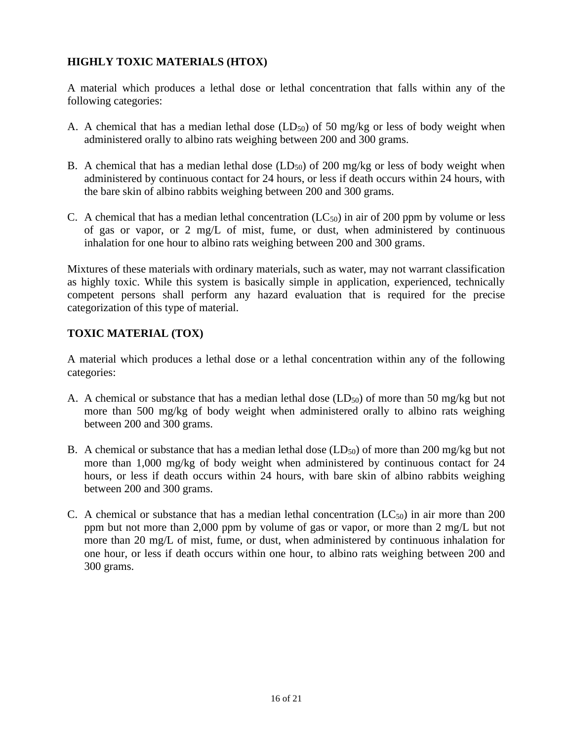## **HIGHLY TOXIC MATERIALS (HTOX)**

A material which produces a lethal dose or lethal concentration that falls within any of the following categories:

- A. A chemical that has a median lethal dose  $(LD_{50})$  of 50 mg/kg or less of body weight when administered orally to albino rats weighing between 200 and 300 grams.
- B. A chemical that has a median lethal dose  $(LD_{50})$  of 200 mg/kg or less of body weight when administered by continuous contact for 24 hours, or less if death occurs within 24 hours, with the bare skin of albino rabbits weighing between 200 and 300 grams.
- C. A chemical that has a median lethal concentration  $(LC_{50})$  in air of 200 ppm by volume or less of gas or vapor, or 2 mg/L of mist, fume, or dust, when administered by continuous inhalation for one hour to albino rats weighing between 200 and 300 grams.

Mixtures of these materials with ordinary materials, such as water, may not warrant classification as highly toxic. While this system is basically simple in application, experienced, technically competent persons shall perform any hazard evaluation that is required for the precise categorization of this type of material.

## **TOXIC MATERIAL (TOX)**

A material which produces a lethal dose or a lethal concentration within any of the following categories:

- A. A chemical or substance that has a median lethal dose ( $LD_{50}$ ) of more than 50 mg/kg but not more than 500 mg/kg of body weight when administered orally to albino rats weighing between 200 and 300 grams.
- B. A chemical or substance that has a median lethal dose  $(LD_{50})$  of more than 200 mg/kg but not more than 1,000 mg/kg of body weight when administered by continuous contact for 24 hours, or less if death occurs within 24 hours, with bare skin of albino rabbits weighing between 200 and 300 grams.
- C. A chemical or substance that has a median lethal concentration  $(LC_{50})$  in air more than 200 ppm but not more than 2,000 ppm by volume of gas or vapor, or more than 2 mg/L but not more than 20 mg/L of mist, fume, or dust, when administered by continuous inhalation for one hour, or less if death occurs within one hour, to albino rats weighing between 200 and 300 grams.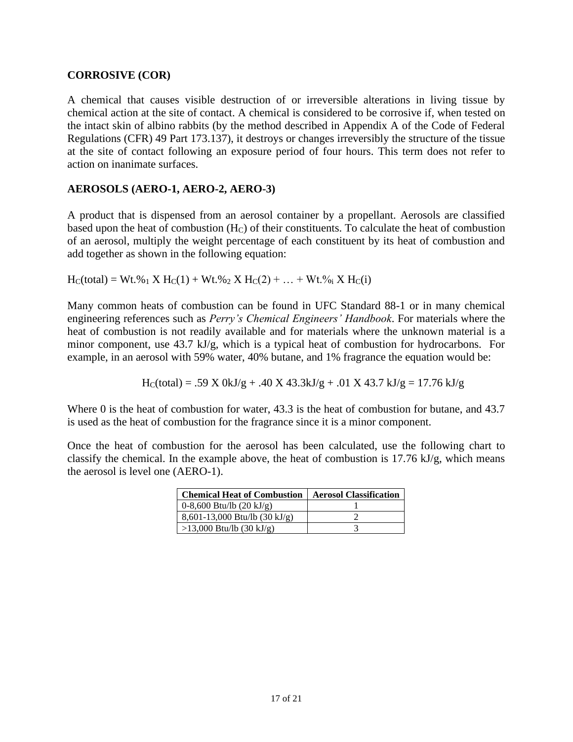## **CORROSIVE (COR)**

A chemical that causes visible destruction of or irreversible alterations in living tissue by chemical action at the site of contact. A chemical is considered to be corrosive if, when tested on the intact skin of albino rabbits (by the method described in Appendix A of the Code of Federal Regulations (CFR) 49 Part 173.137), it destroys or changes irreversibly the structure of the tissue at the site of contact following an exposure period of four hours. This term does not refer to action on inanimate surfaces.

## **AEROSOLS (AERO-1, AERO-2, AERO-3)**

A product that is dispensed from an aerosol container by a propellant. Aerosols are classified based upon the heat of combustion  $(H_C)$  of their constituents. To calculate the heat of combustion of an aerosol, multiply the weight percentage of each constituent by its heat of combustion and add together as shown in the following equation:

 $H_C$ (total) = Wt.%<sub>1</sub> X  $H_C(1)$  + Wt.%<sub>2</sub> X  $H_C(2)$  + ... + Wt.%<sub>i</sub> X  $H_C(i)$ 

Many common heats of combustion can be found in UFC Standard 88-1 or in many chemical engineering references such as *Perry's Chemical Engineers' Handbook*. For materials where the heat of combustion is not readily available and for materials where the unknown material is a minor component, use 43.7 kJ/g, which is a typical heat of combustion for hydrocarbons. For example, in an aerosol with 59% water, 40% butane, and 1% fragrance the equation would be:

$$
H_C(total) = .59 X 0kJ/g + .40 X 43.3kJ/g + .01 X 43.7 kJ/g = 17.76 kJ/g
$$

Where 0 is the heat of combustion for water, 43.3 is the heat of combustion for butane, and 43.7 is used as the heat of combustion for the fragrance since it is a minor component.

Once the heat of combustion for the aerosol has been calculated, use the following chart to classify the chemical. In the example above, the heat of combustion is 17.76 kJ/g, which means the aerosol is level one (AERO-1).

| <b>Chemical Heat of Combustion</b>   | <b>Aerosol Classification</b> |
|--------------------------------------|-------------------------------|
| $0-8,600$ Btu/lb $(20 \text{ kJ/g})$ |                               |
| $8,601-13,000$ Btu/lb (30 kJ/g)      |                               |
| $>13,000$ Btu/lb (30 kJ/g)           |                               |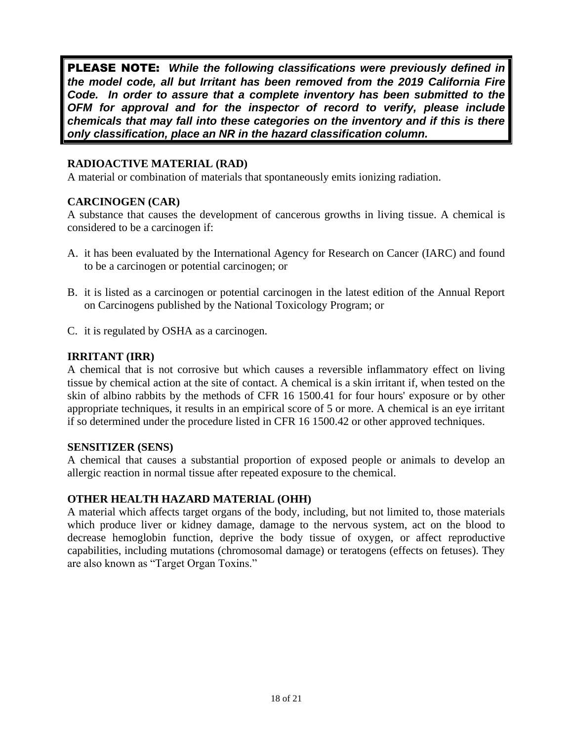PLEASE NOTE:*While the following classifications were previously defined in the model code, all but Irritant has been removed from the 2019 California Fire Code. In order to assure that a complete inventory has been submitted to the OFM for approval and for the inspector of record to verify, please include chemicals that may fall into these categories on the inventory and if this is there only classification, place an NR in the hazard classification column.* 

## **RADIOACTIVE MATERIAL (RAD)**

A material or combination of materials that spontaneously emits ionizing radiation.

## **CARCINOGEN (CAR)**

A substance that causes the development of cancerous growths in living tissue. A chemical is considered to be a carcinogen if:

- A. it has been evaluated by the International Agency for Research on Cancer (IARC) and found to be a carcinogen or potential carcinogen; or
- B. it is listed as a carcinogen or potential carcinogen in the latest edition of the Annual Report on Carcinogens published by the National Toxicology Program; or
- C. it is regulated by OSHA as a carcinogen.

## **IRRITANT (IRR)**

A chemical that is not corrosive but which causes a reversible inflammatory effect on living tissue by chemical action at the site of contact. A chemical is a skin irritant if, when tested on the skin of albino rabbits by the methods of CFR 16 1500.41 for four hours' exposure or by other appropriate techniques, it results in an empirical score of 5 or more. A chemical is an eye irritant if so determined under the procedure listed in CFR 16 1500.42 or other approved techniques.

## **SENSITIZER (SENS)**

A chemical that causes a substantial proportion of exposed people or animals to develop an allergic reaction in normal tissue after repeated exposure to the chemical.

## **OTHER HEALTH HAZARD MATERIAL (OHH)**

A material which affects target organs of the body, including, but not limited to, those materials which produce liver or kidney damage, damage to the nervous system, act on the blood to decrease hemoglobin function, deprive the body tissue of oxygen, or affect reproductive capabilities, including mutations (chromosomal damage) or teratogens (effects on fetuses). They are also known as "Target Organ Toxins."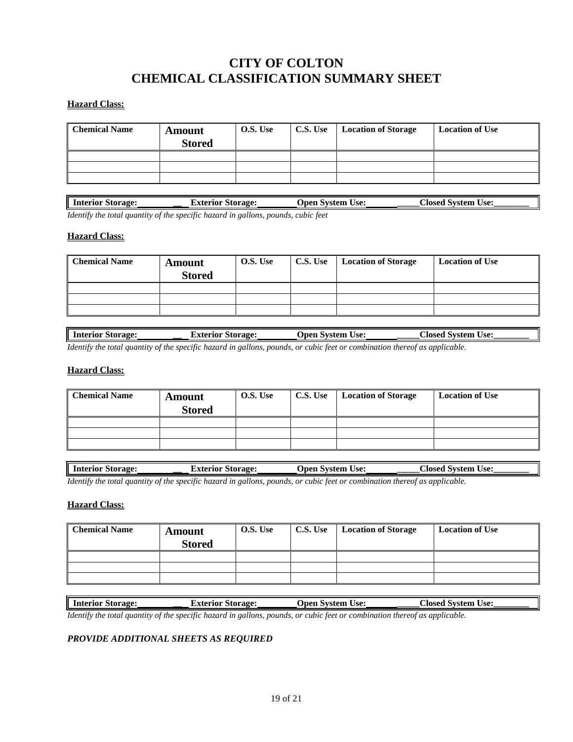# **CITY OF COLTON CHEMICAL CLASSIFICATION SUMMARY SHEET**

### **Hazard Class:**

| <b>Chemical Name</b> | <b>Amount</b><br><b>Stored</b> | O.S. Use | C.S. Use | <b>Location of Storage</b> | <b>Location of Use</b> |
|----------------------|--------------------------------|----------|----------|----------------------------|------------------------|
|                      |                                |          |          |                            |                        |
|                      |                                |          |          |                            |                        |
|                      |                                |          |          |                            |                        |

| Interi<br>Storage:<br>$\cdots$<br>rıor | $\mathbf{r}$ and a set of $\mathbf{r}$<br>storage:<br>эш<br>чог | ہ صوا<br>Jpen<br>: vzci1<br>tom<br>しつし<br>ຼ | :Iosed<br>Suctan<br>ിമെ•<br>USC |
|----------------------------------------|-----------------------------------------------------------------|---------------------------------------------|---------------------------------|
| .                                      |                                                                 |                                             |                                 |

*Identify the total quantity of the specific hazard in gallons, pounds, cubic feet*

#### **Hazard Class:**

| <b>Chemical Name</b> | <b>Amount</b><br><b>Stored</b> | O.S. Use | C.S. Use | Location of Storage | <b>Location of Use</b> |
|----------------------|--------------------------------|----------|----------|---------------------|------------------------|
|                      |                                |          |          |                     |                        |
|                      |                                |          |          |                     |                        |
|                      |                                |          |          |                     |                        |

| l Interior Storage: | Storage <sup>.</sup><br>Exterior                                                                                         | System Use:<br>Jpen | ``losed<br>System<br>Use: |
|---------------------|--------------------------------------------------------------------------------------------------------------------------|---------------------|---------------------------|
|                     | Identify the total quantity of the greating hazard in callong rounds, or outie feet or combination thereof as applicable |                     |                           |

*Identify the total quantity of the specific hazard in gallons, pounds, or cubic feet or combination thereof as applicable.* 

#### **Hazard Class:**

| <b>Chemical Name</b> | <b>Amount</b><br><b>Stored</b> | O.S. Use | C.S. Use | <b>Location of Storage</b> | <b>Location of Use</b> |
|----------------------|--------------------------------|----------|----------|----------------------------|------------------------|
|                      |                                |          |          |                            |                        |
|                      |                                |          |          |                            |                        |
|                      |                                |          |          |                            |                        |

| ш<br>║<br>--<br>torage:<br>-mter<br>$\sim$<br>тюг<br>ייי<br>ш. | raoe<br>10 | ہ صور ا<br><b>+^**</b><br>$\sim$<br>$\sim$ | امعوما<br>းေ<br>tem<br>$\cdots$ |
|----------------------------------------------------------------|------------|--------------------------------------------|---------------------------------|
|                                                                |            |                                            |                                 |

*Identify the total quantity of the specific hazard in gallons, pounds, or cubic feet or combination thereof as applicable.* 

#### **Hazard Class:**

| <b>Chemical Name</b> | <b>Amount</b><br><b>Stored</b> | O.S. Use | C.S. Use | <b>Location of Storage</b> | <b>Location of Use</b> |
|----------------------|--------------------------------|----------|----------|----------------------------|------------------------|
|                      |                                |          |          |                            |                        |
|                      |                                |          |          |                            |                        |
|                      |                                |          |          |                            |                        |

**Interior Storage: \_\_ Exterior Storage: Open System Use: \_\_\_\_\_Closed System Use:\_\_\_\_\_\_\_\_** *Identify the total quantity of the specific hazard in gallons, pounds, or cubic feet or combination thereof as applicable.* 

### *PROVIDE ADDITIONAL SHEETS AS REQUIRED*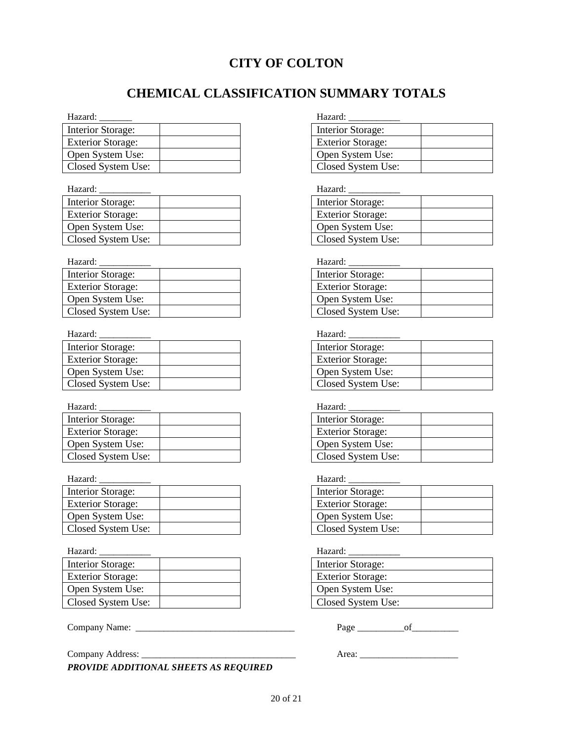# **CITY OF COLTON**

# **CHEMICAL CLASSIFICATION SUMMARY TOTALS**

#### Hazard: \_\_\_\_\_\_\_ Hazard: \_\_\_\_\_\_\_\_\_\_\_

| Interior Storage:         |  | Interior Storage:        |
|---------------------------|--|--------------------------|
| <b>Exterior Storage:</b>  |  | <b>Exterior Storage:</b> |
| Open System Use:          |  | Open System Use:         |
| <b>Closed System Use:</b> |  | Closed System Us         |

Hazard: \_\_\_\_\_\_\_\_\_\_\_ Hazard: \_\_\_\_\_\_\_\_\_\_\_

| Interior Storage:        |  | Interior Storage:        |
|--------------------------|--|--------------------------|
| <b>Exterior Storage:</b> |  | <b>Exterior Storage:</b> |
| Open System Use:         |  | Open System Use:         |
| Closed System Use:       |  | Closed System Use:       |

Hazard: \_\_\_\_\_\_\_\_\_\_\_ Hazard: \_\_\_\_\_\_\_\_\_\_\_

| Interior Storage:         |  | Interior Storage:        |
|---------------------------|--|--------------------------|
| <b>Exterior Storage:</b>  |  | <b>Exterior Storage:</b> |
| Open System Use:          |  | Open System Use:         |
| <b>Closed System Use:</b> |  | Closed System Use:       |

| Hazard:                  | Hazard:                  |  |
|--------------------------|--------------------------|--|
| Interior Storage:        | Interior Storage:        |  |
| <b>Exterior Storage:</b> | <b>Exterior Storage:</b> |  |
| Open System Use:         | Open System Use:         |  |
| Closed System Use:       | Closed System Use:       |  |

Hazard: \_\_\_\_\_\_\_\_\_\_\_ Hazard: \_\_\_\_\_\_\_\_\_\_\_

| Interior Storage:        | Interior Storage:        |
|--------------------------|--------------------------|
| <b>Exterior Storage:</b> | <b>Exterior Storage:</b> |
| Open System Use:         | Open System Use:         |
| Closed System Use:       | Closed System Use:       |

| Interior Storage:        | Interior Storage:        |
|--------------------------|--------------------------|
| <b>Exterior Storage:</b> | <b>Exterior Storage:</b> |
| Open System Use:         | Open System Use:         |
| Closed System Use:       | Closed System Use:       |

## Hazard: \_\_\_\_\_\_\_\_\_\_\_ Hazard: \_\_\_\_\_\_\_\_\_\_\_

| Interior Storage:        | Interior Storage:        |
|--------------------------|--------------------------|
| <b>Exterior Storage:</b> | <b>Exterior Storage:</b> |
| Open System Use:         | Open System Use:         |
| Closed System Use:       | Closed System Use:       |

*PROVIDE ADDITIONAL SHEETS AS REQUIRED*

| <b>Interior Storage:</b> |  |
|--------------------------|--|
| <b>Exterior Storage:</b> |  |
| Open System Use:         |  |
| Closed System Use:       |  |

| Interior Storage:        |  |
|--------------------------|--|
| <b>Exterior Storage:</b> |  |
| Open System Use:         |  |
| Closed System Use:       |  |

| Interior Storage:        |  |
|--------------------------|--|
| <b>Exterior Storage:</b> |  |
| Open System Use:         |  |
| Closed System Use:       |  |

| <b>Interior Storage:</b> |  |
|--------------------------|--|
| <b>Exterior Storage:</b> |  |
| Open System Use:         |  |
| Closed System Use:       |  |

| Interior Storage:        |  |
|--------------------------|--|
| <b>Exterior Storage:</b> |  |
| Open System Use:         |  |
| Closed System Use:       |  |

Hazard: \_\_\_\_\_\_\_\_\_\_\_ Hazard: \_\_\_\_\_\_\_\_\_\_\_

| <b>Interior Storage:</b> |  |
|--------------------------|--|
| <b>Exterior Storage:</b> |  |
| Open System Use:         |  |
| Closed System Use:       |  |

| Interior Storage:        |
|--------------------------|
| <b>Exterior Storage:</b> |
| Open System Use:         |
| Closed System Use:       |

Company Name: \_\_\_\_\_\_\_\_\_\_\_\_\_\_\_\_\_\_\_\_\_\_\_\_\_\_\_\_\_\_\_\_\_\_ Page \_\_\_\_\_\_\_\_\_\_of\_\_\_\_\_\_\_\_\_\_